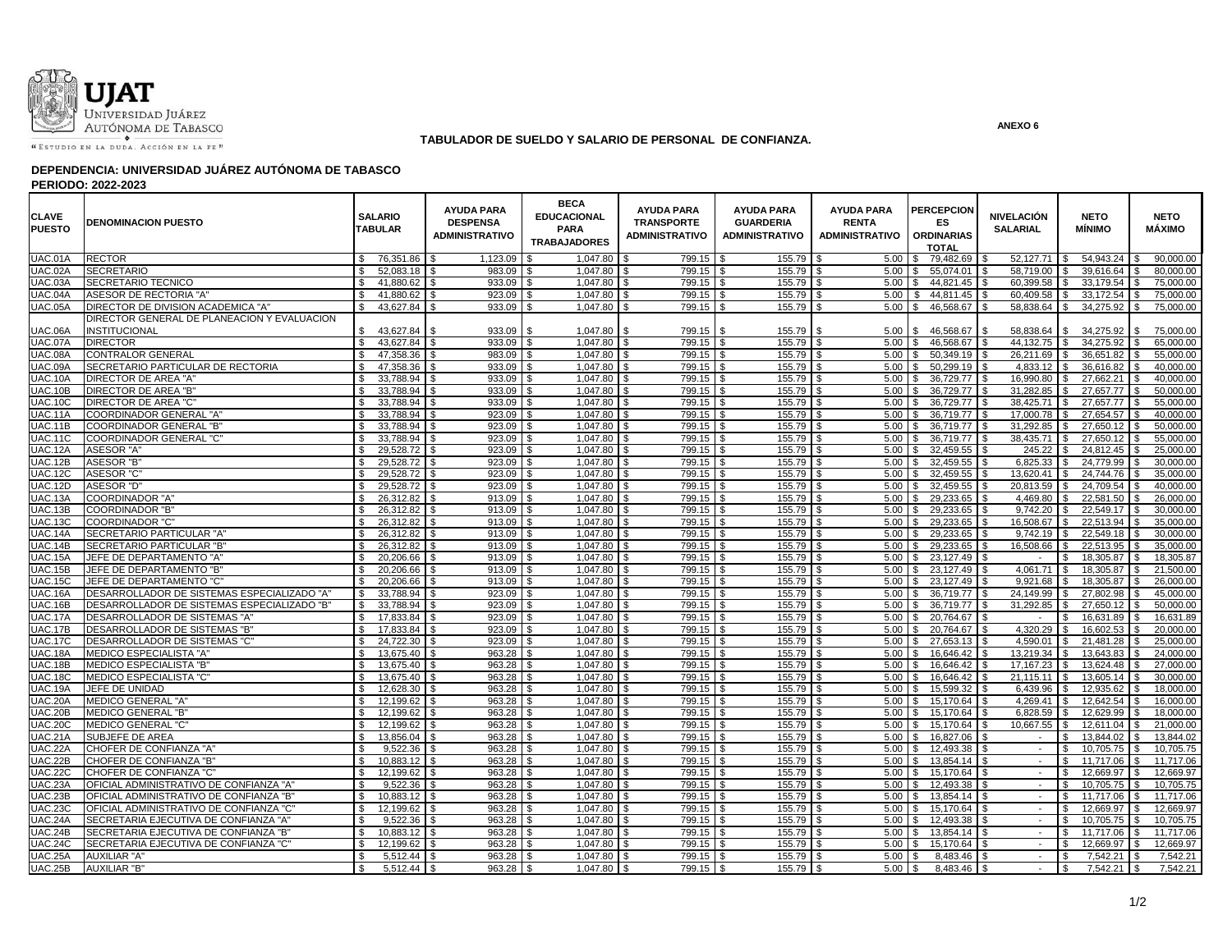

## **TABULADOR DE SUELDO Y SALARIO DE PERSONAL DE CONFIANZA.**

### **DEPENDENCIA: UNIVERSIDAD JUÁREZ AUTÓNOMA DE TABASCO**

**PERIODO: 2022-2023**

| <b>CLAVE</b><br><b>PUESTO</b> | <b>DENOMINACION PUESTO</b>                  | <b>SALARIO</b><br><b>TABULAR</b> | <b>AYUDA PARA</b><br><b>DESPENSA</b><br><b>ADMINISTRATIVO</b> | <b>BECA</b><br><b>EDUCACIONAL</b><br><b>PARA</b><br><b>TRABAJADORES</b> | <b>AYUDA PARA</b><br><b>TRANSPORTE</b><br><b>ADMINISTRATIVO</b> | <b>AYUDA PARA</b><br><b>GUARDERIA</b><br><b>ADMINISTRATIVO</b> | <b>AYUDA PARA</b><br><b>RENTA</b><br><b>ADMINISTRATIVO</b> | <b>PERCEPCION</b><br>ES.<br><b>ORDINARIAS</b><br><b>TOTAL</b> | <b>NIVELACIÓN</b><br><b>SALARIAL</b> | <b>NETO</b><br><b>MÍNIMO</b> | <b>NETO</b><br>MÁXIMO |
|-------------------------------|---------------------------------------------|----------------------------------|---------------------------------------------------------------|-------------------------------------------------------------------------|-----------------------------------------------------------------|----------------------------------------------------------------|------------------------------------------------------------|---------------------------------------------------------------|--------------------------------------|------------------------------|-----------------------|
| UAC.01A                       | <b>RECTOR</b>                               | 76,351.86<br>\$                  | 1,123.09                                                      | 1,047.80                                                                | 799.15                                                          | $155.79$ \$                                                    | 5.00                                                       | 79,482.69                                                     | 52,127.71                            | 54,943.24                    | 90,000.00             |
| <b>UAC.02A</b>                | <b>SECRETARIO</b>                           | \$<br>52,083.18                  | 983.09                                                        | 1,047.80 \$                                                             | 799.15                                                          | 155.79<br>- \$                                                 | 5.00                                                       | 55,074.01 \$<br>\$.                                           | 58,719.00                            | 39,616.64<br><b>S</b>        | 80,000.00             |
| UAC.03A                       | <b>SECRETARIO TECNICO</b>                   | 41,880.62<br>\$.                 | 933.09<br>\$                                                  | 1,047.80<br>.ፍ                                                          | 799.15                                                          | 155.79<br><b>S</b>                                             | 5.00                                                       | 44,821.45 \$                                                  | 60,399.58                            | 33.179.54<br>-S              | 75,000.00             |
| UAC.04A                       | ASESOR DE RECTORIA "A"                      | 41,880.62                        | 923.09                                                        | 1,047.80<br>\$                                                          | 799.15                                                          | 155.79                                                         | 5.00                                                       | 44,811.45 \$<br>\$.                                           | 60,409.58                            | 33,172.54                    | 75,000.00             |
| <b>UAC.05A</b>                | DIRECTOR DE DIVISION ACADEMICA "A'          | 43,627.84                        | 933.09                                                        | 1,047.80 \$                                                             | 799.15                                                          | 155.79                                                         | 5.00                                                       | 46,568.67 \$                                                  | 58,838.64                            | 34,275.92                    | 75,000.00             |
|                               | DIRECTOR GENERAL DE PLANEACION Y EVALUACION |                                  |                                                               |                                                                         |                                                                 |                                                                |                                                            |                                                               |                                      |                              |                       |
| JAC.06A                       | INSTITUCIONAL                               | 43,627.84                        | 933.09                                                        | 1,047.80                                                                | 799.15                                                          | 155.79                                                         | 5.00                                                       | 46,568.67                                                     | 58,838.64                            | 34,275.92                    | 75,000.00             |
| UAC.07A                       | <b>DIRECTOR</b>                             | $\mathbb{S}$<br>43,627.84        | 933.09                                                        | 1,047.80                                                                | 799.15                                                          | 155.79                                                         | 5.00                                                       | 46,568.67                                                     | 44.132.75                            | 34,275.92                    | 65,000.00             |
| UAC.08A                       | <b>CONTRALOR GENERAL</b>                    | 47,358.36                        | 983.09                                                        | 1,047.80                                                                | 799.15                                                          | 155.79                                                         | 5.00                                                       | 50,349.19 \$                                                  | 26,211.69                            | 36,651.82                    | 55.000.00             |
| UAC.09A                       | SECRETARIO PARTICULAR DE RECTORIA           | £.<br>47.358.36                  | 933.09                                                        | 1,047.80 \$                                                             | 799.15                                                          | 155.79                                                         | 5.00                                                       | $50.299.19$ \ \$<br>. ፍ                                       | 4.833.12                             | 36.616.82<br>l \$            | 40.000.00             |
| <b>UAC.10A</b>                | DIRECTOR DE AREA "A"                        | 33,788.94 \$<br>\$               | 933.09                                                        | 1,047.80 \$<br>- \$                                                     | 799.15                                                          | 155.79<br>l \$                                                 | 5.00                                                       | 36,729.77 \$<br>\$                                            | 16,990.80                            | 27,662.21<br>£.              | 40,000.00             |
| <b>UAC.10B</b>                | DIRECTOR DE AREA "B"                        | \$<br>33.788.94                  | 933.09                                                        | $1.047.80$ \ \$                                                         | 799.15                                                          | 155.79<br>- \$                                                 | 5.00                                                       | 36,729.77 \$                                                  | 31.282.85                            | 27.657.77<br>l \$            | 50.000.00             |
| <b>UAC.10C</b>                | DIRECTOR DE AREA "C"                        | 33,788.94<br>\$.                 | 933.09                                                        | 1,047.80 \$                                                             | 799.15                                                          | 155.79                                                         | 5.00                                                       | 36,729.77 \$                                                  | 38,425.71                            | 27,657.77<br>.ኖ              | 55,000.00             |
| UAC.11A                       | COORDINADOR GENERAL "A"                     | \$<br>33,788.94                  | 923.09                                                        | 1,047.80 \$<br>\$                                                       | 799.15                                                          | 155.79<br><b>S</b>                                             | 5.00                                                       | 36,719.77 \$                                                  | 17,000.78                            | 27,654.57<br>£.              | 40,000.00             |
| UAC.11B                       | <b>COORDINADOR GENERAL "B"</b>              | \$<br>33,788.94 \$               | 923.09                                                        | $1,047.80$ \$                                                           | 799.15                                                          | l \$<br>155.79                                                 | 5.00<br>l \$                                               | 36,719.77 \$<br>\$.                                           | $31,292.85$ \$                       | 27,650.12                    | 50,000,00             |
| <b>UAC.11C</b>                | <b>COORDINADOR GENERAL "C"</b>              | \$<br>33,788.94                  | 923.09                                                        | 1,047.80                                                                | 799.15                                                          | 155.79                                                         | 5.00                                                       | 36,719.77 \$                                                  | 38,435.71                            | 27,650.12<br>l \$            | 55,000.00             |
| <b>UAC.12A</b>                | <b>ASESOR "A"</b>                           | 29,528.72<br>\$                  | 923.09                                                        | 1,047.80 \$<br>-S                                                       | 799.15                                                          | 155.79<br><b>S</b>                                             | 5.00<br>l \$                                               | 32,459.55 \$<br>\$                                            | 245.22                               | 24,812.45<br><b>S</b>        | 25,000.00             |
| <b>UAC.12B</b>                | <b>ASESOR "B"</b>                           | \$<br>29,528.72                  | 923.09                                                        | 1,047.80 \$                                                             | 799.15                                                          | 155.79                                                         | 5.00                                                       | 32,459.55 \$<br>\$                                            | 6,825.33                             | 24,779.99<br><b>S</b>        | 30,000.00             |
| <b>UAC.12C</b>                | <b>ASESOR "C"</b>                           | 29,528.72<br>\$                  | 923.09                                                        | $\overline{1,047.80}$ \$                                                | 799.15                                                          | 155.79                                                         | 5.00                                                       | $32,459.55$ \$<br>- \$                                        | 13,620.41 \$                         | 24,744.76                    | 35,000.00             |
| UAC.12D                       | <b>ASESOR "D"</b>                           | 29,528.72<br>\$                  | 923.09                                                        | $1,047.80$ \$                                                           | 799.15                                                          | 155.79<br>l \$                                                 | 5.00<br>l \$                                               | 32,459.55 \$<br>$\mathfrak{L}$                                | 20,813.59 \$                         | 24,709.54                    | 40.000.00             |
| UAC.13A                       | <b>COORDINADOR "A"</b>                      | 26,312.82<br>\$.                 | 913.09                                                        | 1,047.80 \$                                                             | 799.15                                                          | 155.79<br>l \$                                                 | 5.00<br>- \$                                               | 29,233.65 \$                                                  | 4,469.80                             | 22,581.50<br>\$              | 26,000.00             |
| UAC.13B                       | <b>COORDINADOR "B"</b>                      | \$<br>26,312.82                  | 913.09                                                        | 1,047.80 \$                                                             | 799.15                                                          | 155.79                                                         | 5.00                                                       | 29,233.65 \$<br>\$.                                           | 9.742.20                             | 22,549.17<br>\$              | 30.000.00             |
| <b>UAC.13C</b>                | <b>COORDINADOR "C"</b>                      | \$.<br>26,312.82                 | 913.09                                                        | 1,047.80 \$                                                             | 799.15                                                          | 155.79                                                         | 5.00                                                       | 29,233.65 \$<br>\$                                            | 16,508.67                            | 22,513.94<br><b>S</b>        | 35,000.00             |
| UAC.14A                       | SECRETARIO PARTICULAR "A"                   | 26.312.82<br>£.                  | 913.09                                                        | $1,047.80$ \$<br>Я.                                                     | 799.15                                                          | 155.79<br>l \$                                                 | 5.00                                                       | 29.233.65 \$                                                  | 9.742.19                             | 22.549.18                    | 30.000.00             |
| UAC.14B                       | <b>SECRETARIO PARTICULAR "B"</b>            | \$<br>26,312.82                  | 913.09                                                        | 1,047.80 \$                                                             | 799.15                                                          | 155.79<br>$\mathbf{s}$                                         | 5.00<br>l \$                                               | 29,233.65 \$<br>\$.                                           | 16,508.66                            | 22,513.95<br>$\mathbf{s}$    | 35,000.00             |
| <b>UAC.15A</b>                | JEFE DE DEPARTAMENTO "A"                    | \$<br>20,206.66                  | 913.09                                                        | 1,047.80 \$                                                             | 799.15                                                          | 155.79                                                         | 5.00                                                       | 23,127.49<br>\$                                               |                                      | 18,305.87<br>\$.             | 18,305.87             |
| <b>UAC.15B</b>                | JEFE DE DEPARTAMENTO "B"                    | 20,206.66                        | 913.09                                                        | 1,047.80                                                                | 799.15                                                          | 155.79                                                         | 5.00                                                       | 23,127.49 \$<br>\$                                            | 4,061.71                             | 18,305.87                    | 21,500.00             |
| <b>UAC.15C</b>                | JEFE DE DEPARTAMENTO "C'                    | 20,206.66<br>\$                  | 913.09                                                        | 1,047.80 \$                                                             | 799.15                                                          | 155.79                                                         | 5.00                                                       | 23,127.49 \$<br>\$.                                           | 9,921.68                             | 18,305.87<br>\$.             | 26,000.00             |
| UAC.16A                       | DESARROLLADOR DE SISTEMAS ESPECIALIZADO "A" | 33.788.94<br>-SS                 | 923.09                                                        | 1,047.80                                                                | 799.15                                                          | 155.79<br>l SS                                                 | 5.00                                                       | 36,719.77 \$                                                  | 24.149.99                            | 27.802.98<br>£.              | 45.000.00             |
| UAC.16B                       | DESARROLLADOR DE SISTEMAS ESPECIALIZADO "B" | 33,788.94                        | 923.09                                                        | 1,047.80                                                                | 799.15                                                          | 155.79                                                         | 5.00                                                       | 36,719.77 \$                                                  | 31,292.85                            | 27,650.12                    | 50,000.00             |
| <b>UAC.17A</b>                | DESARROLLADOR DE SISTEMAS "A'               | \$<br>17,833.84                  | 923.09                                                        | 1,047.80 \$                                                             | 799.15                                                          | 155.79                                                         | 5.00                                                       | 20,764.67 \$<br>\$                                            |                                      | 16,631.89<br>\$              | 16,631.89             |
| <b>UAC.17B</b>                | DESARROLLADOR DE SISTEMAS "B"               | 17.833.84                        | 923.09                                                        | 1.047.80                                                                | 799.15                                                          | 155.79                                                         | 5.00                                                       | 20.764.67 \$                                                  | 4.320.29                             | 16.602.53                    | 20,000,00             |
| <b>UAC.17C</b>                | DESARROLLADOR DE SISTEMAS "C"               | 24,722.30<br>\$                  | 923.09                                                        | 1,047.80 \$                                                             | 799.15                                                          | 155.79                                                         | 5.00                                                       | 27,653.13 \$<br>\$.                                           | 4,590.01 \$                          | 21,481.28                    | 25,000.00             |
| <b>UAC.18A</b>                | <b>MEDICO ESPECIALISTA "A"</b>              | 13.675.40                        | 963.28                                                        | 1,047.80                                                                | 799.15                                                          | 155.79                                                         | 5.00                                                       | 16.646.42                                                     | 13.219.34                            | 13.643.83                    | 24.000.00             |
| <b>UAC.18B</b>                | <b>MEDICO ESPECIALISTA "B"</b>              | \$<br>13,675.40                  | 963.28                                                        | 1,047.80                                                                | 799.15                                                          | 155.79                                                         | 5.00                                                       | 16,646.42 \$<br>\$.                                           | 17,167.23                            | 13,624.48                    | 27,000.00             |
| <b>UAC.18C</b>                | <b>MEDICO ESPECIALISTA "C"</b>              | ፍ<br>13.675.40                   | 963.28                                                        | 1.047.80                                                                | 799.15                                                          | 155.79                                                         | 5.00                                                       | 16.646.42                                                     | 21.115.11                            | 13.605.14                    | 30.000.00             |
| UAC.19A                       | JEFE DE UNIDAD                              | 12,628.30<br>\$.                 | 963.28                                                        | 1,047.80                                                                | 799.15                                                          | 155.79<br>l \$                                                 | 5.00                                                       | 15.599.32 \$<br>. ድ                                           | 6.439.96                             | 12.935.62                    | 18,000.00             |
| <b>UAC.20A</b>                | <b>MEDICO GENERAL "A"</b>                   | \$<br>12,199.62                  | 963.28                                                        | 1,047.80 \$                                                             | 799.15                                                          | 155.79                                                         | 5.00                                                       | 15,170.64 \$<br>\$.                                           | $4,269.41$ \$                        | 12,642.54                    | 16,000.00             |
| <b>UAC.20B</b>                | <b>MEDICO GENERAL "B"</b>                   | 12,199.62<br>\$.                 | 963.28                                                        | 1,047.80                                                                | 799.15                                                          | 155.79                                                         | 5.00                                                       | 15,170.64                                                     | 6,828.59<br>l \$                     | 12,629.99                    | 18,000.00             |
| <b>UAC.20C</b>                | <b>MEDICO GENERAL "C"</b>                   | 12,199.62<br>\$                  | 963.28                                                        | 1,047.80 \$                                                             | 799.15                                                          | 155.79                                                         | 5.00                                                       | 15.170.64 \ \$                                                | 10,667.55                            | 12.611.04                    | 21.000.00             |
| <b>UAC.21A</b>                | SUBJEFE DE AREA                             | \$<br>13.856.04                  | 963.28                                                        | 1,047.80 \$                                                             | 799.15                                                          | 155.79                                                         | 5.00                                                       | 16.827.06 \$<br>\$.                                           |                                      | 13.844.02<br>\$              | 13.844.02             |
| UAC.22A                       | CHOFER DE CONFIANZA "A"                     | $\mathbf{s}$<br>9,522.36         | 963.28                                                        | 1,047.80 \$                                                             | 799.15                                                          | 155.79                                                         | 5.00                                                       | \$                                                            | $\sim$                               | 10,705.75<br>-S              | 10,705.75             |
| UAC.22B                       | CHOFER DE CONFIANZA "B"                     | \$<br>10,883.12                  | 963.28                                                        | 1,047.80 \$<br>-S                                                       | 799.15                                                          | 155.79<br>- \$                                                 | 5.00                                                       | $13,854.14$ \\$<br>\$                                         | $\sim$                               | 11,717.06<br>\$              | 11,717.06             |
| <b>UAC.22C</b>                | CHOFER DE CONFIANZA "C"                     | 12,199.62<br>\$                  | 963.28                                                        | 1,047.80 \$                                                             | 799.15                                                          | 155.79                                                         | 5.00                                                       | 15,170.64 \$<br>\$                                            | $\sim$                               | 12,669.97<br>\$              | 12,669.97             |
| <b>UAC.23A</b>                | OFICIAL ADMINISTRATIVO DE CONFIANZA "A"     | 9,522.36<br>\$.                  | 963.28                                                        | 1,047.80 \$                                                             | 799.15                                                          | 155.79                                                         | 5.00                                                       | 12,493.38 \$                                                  | $\sim$                               | 10,705.75<br>\$              | 10,705.75             |
| UAC.23B                       | OFICIAL ADMINISTRATIVO DE CONFIANZA "B"     | \$<br>10,883.12 \$               | 963.28                                                        | 1,047.80 \$<br>-S                                                       | 799.15                                                          | 155.79<br>l \$                                                 | 5.00                                                       | $13,854.14$ \\$<br>\$                                         |                                      | <b>S</b><br>11.717.06        | 11.717.06             |
| <b>UAC.23C</b>                | OFICIAL ADMINISTRATIVO DE CONFIANZA "C'     | 12,199.62<br>\$                  | 963.28                                                        | 1,047.80                                                                | 799.15                                                          | 155.79<br>- \$                                                 | 5.00                                                       | 15,170.64 \$                                                  | $\sim$                               | 12,669.97<br>\$.             | 12,669.97             |
| UAC.24A                       | SECRETARIA EJECUTIVA DE CONFIANZA "A"       | 9,522.36<br>\$.                  | 963.28                                                        | 1,047.80 \$                                                             | 799.15                                                          | 155.79                                                         | 5.00                                                       | 12,493.38 \$<br>\$.                                           | $\sim$                               | 10,705.75<br>-S              | 10,705.75             |
| UAC.24B                       | SECRETARIA EJECUTIVA DE CONFIANZA "B"       | $\mathfrak{L}$<br>10,883.12      | 963.28                                                        | 1,047.80 \$                                                             | 799.15                                                          | 155.79                                                         | 5.00                                                       | 13,854.14 \$<br>\$                                            |                                      | 11,717.06<br>-\$             | 11,717.06             |
| UAC.24C                       | SECRETARIA EJECUTIVA DE CONFIANZA "C"       | 12,199.62<br>-S                  | 963.28                                                        | 1,047.80 \$                                                             | 799.15                                                          | 155.79<br>l \$                                                 | 5.00                                                       | 15,170.64 \$<br>- \$                                          | $\overline{\phantom{a}}$             | 12,669.97                    | 12,669.97             |
| UAC.25A                       | <b>AUXILIAR "A"</b>                         | $5,512.44$ \$<br>\$.             | 963.28                                                        | 1,047.80 \$                                                             | 799.15                                                          | 155.79<br>l \$                                                 | 5.00<br>l \$                                               | 8,483.46 \$                                                   | $\sim$                               | 7,542.21<br>\$               | 7.542.21<br>£.        |
| <b>UAC.25B</b>                | <b>AUXILIAR "B"</b>                         | $5,512.44$ \$<br>-S              | 963.28                                                        | 1,047.80 \$                                                             | 799.15                                                          | 155.79<br>l \$                                                 | 5.00<br>l \$                                               | 8,483.46 \$                                                   | $\sim$                               | 7,542.21<br>\$               | 7,542.21              |

**ANEXO 6**